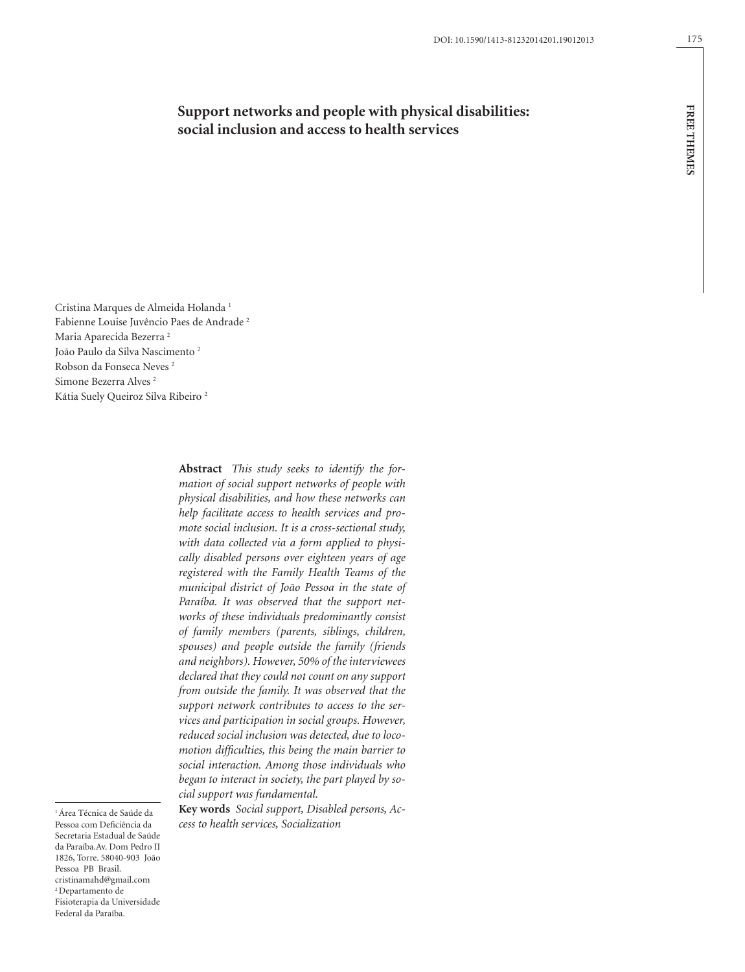# **Support networks and people with physical disabilities: social inclusion and access to health services**

Cristina Marques de Almeida Holanda 1 Fabienne Louise Juvêncio Paes de Andrade 2 Maria Aparecida Bezerra 2 João Paulo da Silva Nascimento 2 Robson da Fonseca Neves 2 Simone Bezerra Alves 2 Kátia Suely Queiroz Silva Ribeiro 2

> **Abstract** *This study seeks to identify the formation of social support networks of people with physical disabilities, and how these networks can help facilitate access to health services and promote social inclusion. It is a cross-sectional study, with data collected via a form applied to physically disabled persons over eighteen years of age registered with the Family Health Teams of the municipal district of João Pessoa in the state of Paraíba. It was observed that the support networks of these individuals predominantly consist of family members (parents, siblings, children, spouses) and people outside the family (friends and neighbors). However, 50% of the interviewees declared that they could not count on any support from outside the family. It was observed that the support network contributes to access to the services and participation in social groups. However, reduced social inclusion was detected, due to locomotion difficulties, this being the main barrier to social interaction. Among those individuals who began to interact in society, the part played by social support was fundamental.*

> **Key words** *Social support, Disabled persons, Access to health services, Socialization*

1 Área Técnica de Saúde da Pessoa com Deficiência da Secretaria Estadual de Saúde da Paraíba.Av. Dom Pedro II 1826, Torre. 58040-903 João Pessoa PB Brasil. cristinamahd@gmail.com 2 Departamento de Fisioterapia da Universidade Federal da Paraíba.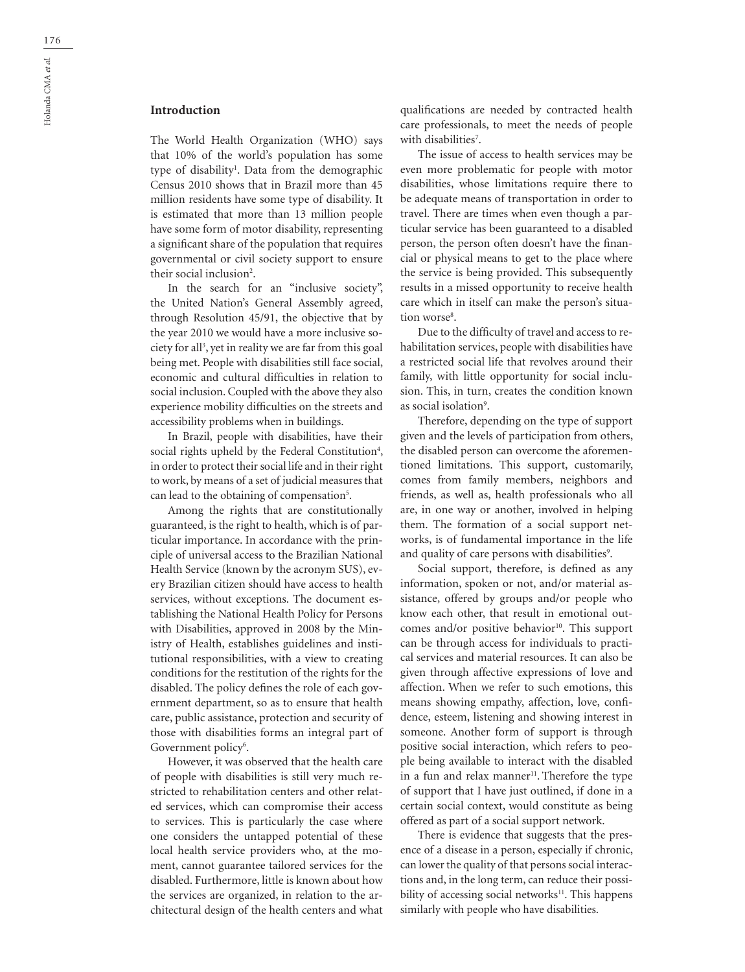# **Introduction**

The World Health Organization (WHO) says that 10% of the world's population has some type of disability<sup>1</sup>. Data from the demographic Census 2010 shows that in Brazil more than 45 million residents have some type of disability. It is estimated that more than 13 million people have some form of motor disability, representing a significant share of the population that requires governmental or civil society support to ensure their social inclusion<sup>2</sup>.

In the search for an "inclusive society", the United Nation's General Assembly agreed, through Resolution 45/91, the objective that by the year 2010 we would have a more inclusive society for all<sup>3</sup>, yet in reality we are far from this goal being met. People with disabilities still face social, economic and cultural difficulties in relation to social inclusion. Coupled with the above they also experience mobility difficulties on the streets and accessibility problems when in buildings.

In Brazil, people with disabilities, have their social rights upheld by the Federal Constitution<sup>4</sup>, in order to protect their social life and in their right to work, by means of a set of judicial measures that can lead to the obtaining of compensation<sup>5</sup>.

Among the rights that are constitutionally guaranteed, is the right to health, which is of particular importance. In accordance with the principle of universal access to the Brazilian National Health Service (known by the acronym SUS), every Brazilian citizen should have access to health services, without exceptions. The document establishing the National Health Policy for Persons with Disabilities, approved in 2008 by the Ministry of Health, establishes guidelines and institutional responsibilities, with a view to creating conditions for the restitution of the rights for the disabled. The policy defines the role of each government department, so as to ensure that health care, public assistance, protection and security of those with disabilities forms an integral part of Government policy<sup>6</sup>.

However, it was observed that the health care of people with disabilities is still very much restricted to rehabilitation centers and other related services, which can compromise their access to services. This is particularly the case where one considers the untapped potential of these local health service providers who, at the moment, cannot guarantee tailored services for the disabled. Furthermore, little is known about how the services are organized, in relation to the architectural design of the health centers and what qualifications are needed by contracted health care professionals, to meet the needs of people with disabilities<sup>7</sup>.

The issue of access to health services may be even more problematic for people with motor disabilities, whose limitations require there to be adequate means of transportation in order to travel. There are times when even though a particular service has been guaranteed to a disabled person, the person often doesn't have the financial or physical means to get to the place where the service is being provided. This subsequently results in a missed opportunity to receive health care which in itself can make the person's situation worse<sup>8</sup>.

Due to the difficulty of travel and access to rehabilitation services, people with disabilities have a restricted social life that revolves around their family, with little opportunity for social inclusion. This, in turn, creates the condition known as social isolation<sup>9</sup>.

Therefore, depending on the type of support given and the levels of participation from others, the disabled person can overcome the aforementioned limitations. This support, customarily, comes from family members, neighbors and friends, as well as, health professionals who all are, in one way or another, involved in helping them. The formation of a social support networks, is of fundamental importance in the life and quality of care persons with disabilities<sup>9</sup>.

Social support, therefore, is defined as any information, spoken or not, and/or material assistance, offered by groups and/or people who know each other, that result in emotional outcomes and/or positive behavior $10$ . This support can be through access for individuals to practical services and material resources. It can also be given through affective expressions of love and affection. When we refer to such emotions, this means showing empathy, affection, love, confidence, esteem, listening and showing interest in someone. Another form of support is through positive social interaction, which refers to people being available to interact with the disabled in a fun and relax manner<sup>11</sup>. Therefore the type of support that I have just outlined, if done in a certain social context, would constitute as being offered as part of a social support network.

There is evidence that suggests that the presence of a disease in a person, especially if chronic, can lower the quality of that persons social interactions and, in the long term, can reduce their possibility of accessing social networks $11$ . This happens similarly with people who have disabilities.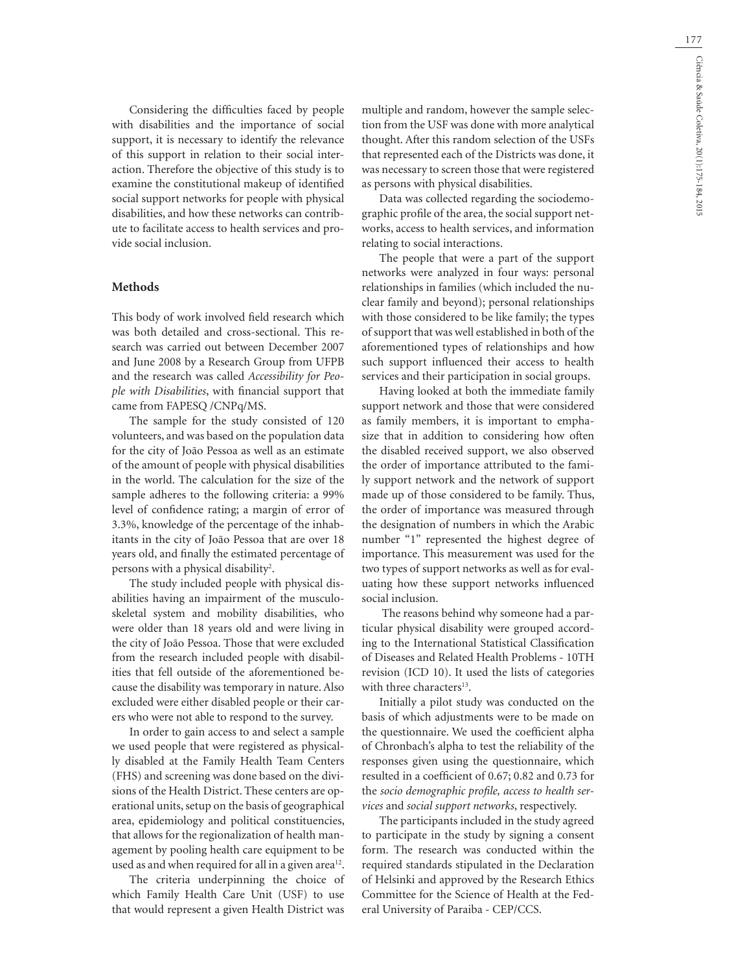177

Considering the difficulties faced by people with disabilities and the importance of social support, it is necessary to identify the relevance of this support in relation to their social interaction. Therefore the objective of this study is to examine the constitutional makeup of identified social support networks for people with physical disabilities, and how these networks can contribute to facilitate access to health services and provide social inclusion.

#### **Methods**

This body of work involved field research which was both detailed and cross-sectional. This research was carried out between December 2007 and June 2008 by a Research Group from UFPB and the research was called *Accessibility for People with Disabilities*, with financial support that came from FAPESQ /CNPq/MS.

The sample for the study consisted of 120 volunteers, and was based on the population data for the city of João Pessoa as well as an estimate of the amount of people with physical disabilities in the world. The calculation for the size of the sample adheres to the following criteria: a 99% level of confidence rating; a margin of error of 3.3%, knowledge of the percentage of the inhabitants in the city of João Pessoa that are over 18 years old, and finally the estimated percentage of persons with a physical disability<sup>2</sup>.

The study included people with physical disabilities having an impairment of the musculoskeletal system and mobility disabilities, who were older than 18 years old and were living in the city of João Pessoa. Those that were excluded from the research included people with disabilities that fell outside of the aforementioned because the disability was temporary in nature. Also excluded were either disabled people or their carers who were not able to respond to the survey.

In order to gain access to and select a sample we used people that were registered as physically disabled at the Family Health Team Centers (FHS) and screening was done based on the divisions of the Health District. These centers are operational units, setup on the basis of geographical area, epidemiology and political constituencies, that allows for the regionalization of health management by pooling health care equipment to be used as and when required for all in a given area<sup>12</sup>.

The criteria underpinning the choice of which Family Health Care Unit (USF) to use that would represent a given Health District was multiple and random, however the sample selection from the USF was done with more analytical thought. After this random selection of the USFs that represented each of the Districts was done, it was necessary to screen those that were registered as persons with physical disabilities.

Data was collected regarding the sociodemographic profile of the area, the social support networks, access to health services, and information relating to social interactions.

The people that were a part of the support networks were analyzed in four ways: personal relationships in families (which included the nuclear family and beyond); personal relationships with those considered to be like family; the types of support that was well established in both of the aforementioned types of relationships and how such support influenced their access to health services and their participation in social groups.

Having looked at both the immediate family support network and those that were considered as family members, it is important to emphasize that in addition to considering how often the disabled received support, we also observed the order of importance attributed to the family support network and the network of support made up of those considered to be family. Thus, the order of importance was measured through the designation of numbers in which the Arabic number "1" represented the highest degree of importance. This measurement was used for the two types of support networks as well as for evaluating how these support networks influenced social inclusion.

 The reasons behind why someone had a particular physical disability were grouped according to the International Statistical Classification of Diseases and Related Health Problems - 10TH revision (ICD 10). It used the lists of categories with three characters<sup>13</sup>.

Initially a pilot study was conducted on the basis of which adjustments were to be made on the questionnaire. We used the coefficient alpha of Chronbach's alpha to test the reliability of the responses given using the questionnaire, which resulted in a coefficient of 0.67; 0.82 and 0.73 for the *socio demographic profile, access to health services* and *social support networks*, respectively.

The participants included in the study agreed to participate in the study by signing a consent form. The research was conducted within the required standards stipulated in the Declaration of Helsinki and approved by the Research Ethics Committee for the Science of Health at the Federal University of Paraiba - CEP/CCS.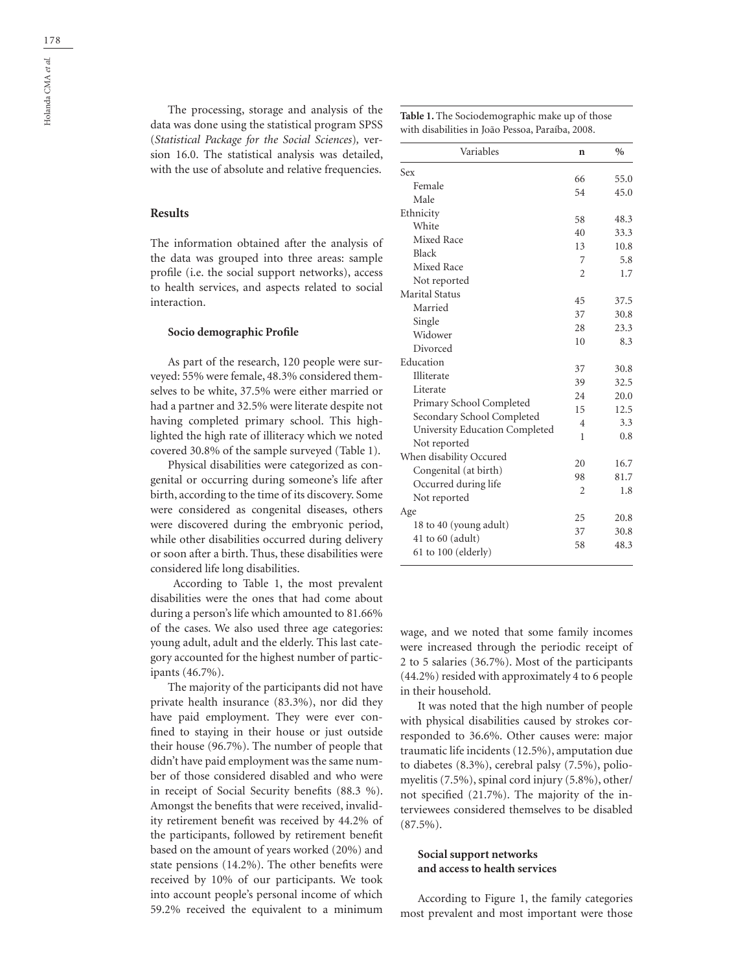The processing, storage and analysis of the data was done using the statistical program SPSS (*Statistical Package for the Social Sciences*)*,* version 16.0. The statistical analysis was detailed, with the use of absolute and relative frequencies.

#### **Results**

The information obtained after the analysis of the data was grouped into three areas: sample profile (i.e. the social support networks), access to health services, and aspects related to social interaction.

#### **Socio demographic Profile**

As part of the research, 120 people were surveyed: 55% were female, 48.3% considered themselves to be white, 37.5% were either married or had a partner and 32.5% were literate despite not having completed primary school. This highlighted the high rate of illiteracy which we noted covered 30.8% of the sample surveyed (Table 1).

Physical disabilities were categorized as congenital or occurring during someone's life after birth, according to the time of its discovery. Some were considered as congenital diseases, others were discovered during the embryonic period, while other disabilities occurred during delivery or soon after a birth. Thus, these disabilities were considered life long disabilities.

 According to Table 1, the most prevalent disabilities were the ones that had come about during a person's life which amounted to 81.66% of the cases. We also used three age categories: young adult, adult and the elderly. This last category accounted for the highest number of participants (46.7%).

The majority of the participants did not have private health insurance (83.3%), nor did they have paid employment. They were ever confined to staying in their house or just outside their house (96.7%). The number of people that didn't have paid employment was the same number of those considered disabled and who were in receipt of Social Security benefits (88.3 %). Amongst the benefits that were received, invalidity retirement benefit was received by 44.2% of the participants, followed by retirement benefit based on the amount of years worked (20%) and state pensions (14.2%). The other benefits were received by 10% of our participants. We took into account people's personal income of which 59.2% received the equivalent to a minimum

| Variables                      | n              | $\%$ |
|--------------------------------|----------------|------|
| Sex                            |                |      |
| Female                         | 66<br>54       | 55.0 |
| Male                           |                | 45.0 |
| Ethnicity                      | 58             |      |
| White                          | 40             | 48.3 |
| Mixed Race                     |                | 33.3 |
| Black                          | 13             | 10.8 |
| Mixed Race                     | 7              | 5.8  |
| Not reported                   | $\overline{c}$ | 1.7  |
| <b>Marital Status</b>          |                |      |
| Married                        | 45             | 37.5 |
| Single                         | 37             | 30.8 |
| Widower                        | 28             | 23.3 |
| Divorced                       | 10             | 8.3  |
| Education                      |                |      |
| Illiterate                     | 37             | 30.8 |
| Literate                       | 39             | 32.5 |
| Primary School Completed       | 24             | 20.0 |
| Secondary School Completed     | 15             | 12.5 |
| University Education Completed | 4              | 3.3  |
| Not reported                   | 1              | 0.8  |
| When disability Occured        |                |      |
| Congenital (at birth)          | 20             | 16.7 |
| Occurred during life           | 98             | 81.7 |
| Not reported                   | $\overline{c}$ | 1.8  |
| Age                            |                |      |
| 18 to 40 (young adult)         | 25             | 20.8 |
| 41 to $60$ (adult)             | 37             | 30.8 |
| $61$ to $100$ (elderly)        | 58             | 48.3 |

wage, and we noted that some family incomes were increased through the periodic receipt of 2 to 5 salaries (36.7%). Most of the participants (44.2%) resided with approximately 4 to 6 people in their household.

It was noted that the high number of people with physical disabilities caused by strokes corresponded to 36.6%. Other causes were: major traumatic life incidents (12.5%), amputation due to diabetes (8.3%), cerebral palsy (7.5%), poliomyelitis (7.5%), spinal cord injury (5.8%), other/ not specified (21.7%). The majority of the interviewees considered themselves to be disabled  $(87.5\%)$ .

### **Social support networks and access to health services**

According to Figure 1, the family categories most prevalent and most important were those

**Table 1.** The Sociodemographic make up of those with disabilities in João Pessoa, Paraíba, 2008.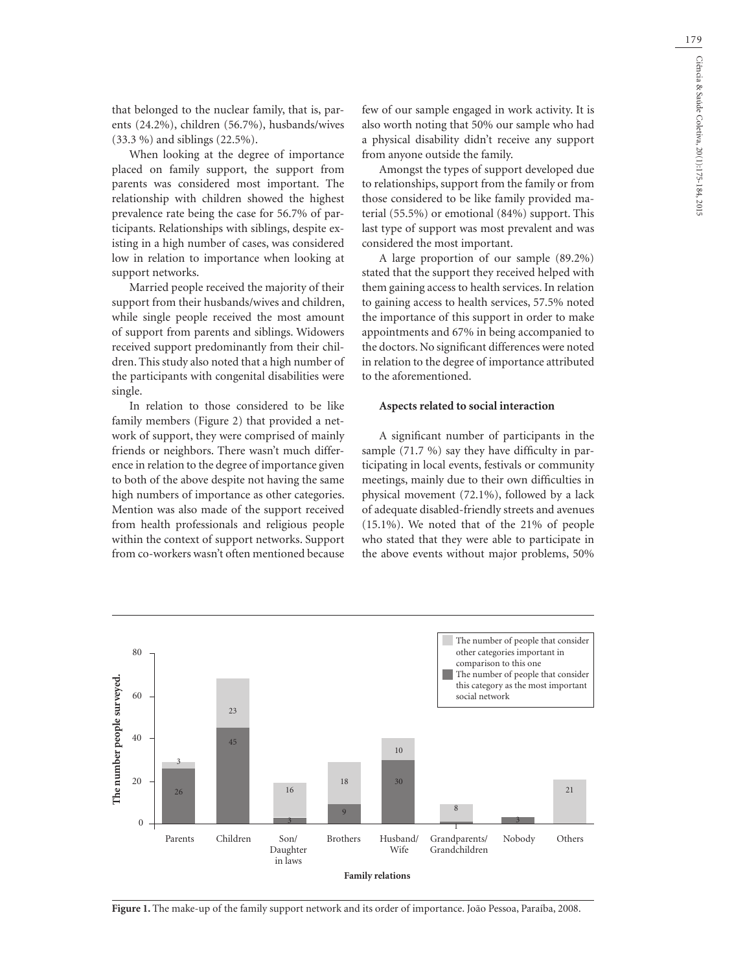179

that belonged to the nuclear family, that is, parents (24.2%), children (56.7%), husbands/wives (33.3 %) and siblings (22.5%).

When looking at the degree of importance placed on family support, the support from parents was considered most important. The relationship with children showed the highest prevalence rate being the case for 56.7% of participants. Relationships with siblings, despite existing in a high number of cases, was considered low in relation to importance when looking at support networks.

Married people received the majority of their support from their husbands/wives and children, while single people received the most amount of support from parents and siblings. Widowers received support predominantly from their children. This study also noted that a high number of the participants with congenital disabilities were single.

In relation to those considered to be like family members (Figure 2) that provided a network of support, they were comprised of mainly friends or neighbors. There wasn't much difference in relation to the degree of importance given to both of the above despite not having the same high numbers of importance as other categories. Mention was also made of the support received from health professionals and religious people within the context of support networks. Support from co-workers wasn't often mentioned because

few of our sample engaged in work activity. It is also worth noting that 50% our sample who had a physical disability didn't receive any support from anyone outside the family.

Amongst the types of support developed due to relationships, support from the family or from those considered to be like family provided material (55.5%) or emotional (84%) support. This last type of support was most prevalent and was considered the most important.

A large proportion of our sample (89.2%) stated that the support they received helped with them gaining access to health services. In relation to gaining access to health services, 57.5% noted the importance of this support in order to make appointments and 67% in being accompanied to the doctors. No significant differences were noted in relation to the degree of importance attributed to the aforementioned.

### **Aspects related to social interaction**

A significant number of participants in the sample (71.7 %) say they have difficulty in participating in local events, festivals or community meetings, mainly due to their own difficulties in physical movement (72.1%), followed by a lack of adequate disabled-friendly streets and avenues (15.1%). We noted that of the 21% of people who stated that they were able to participate in the above events without major problems, 50%



**Figure 1.** The make-up of the family support network and its order of importance. João Pessoa, Paraíba, 2008.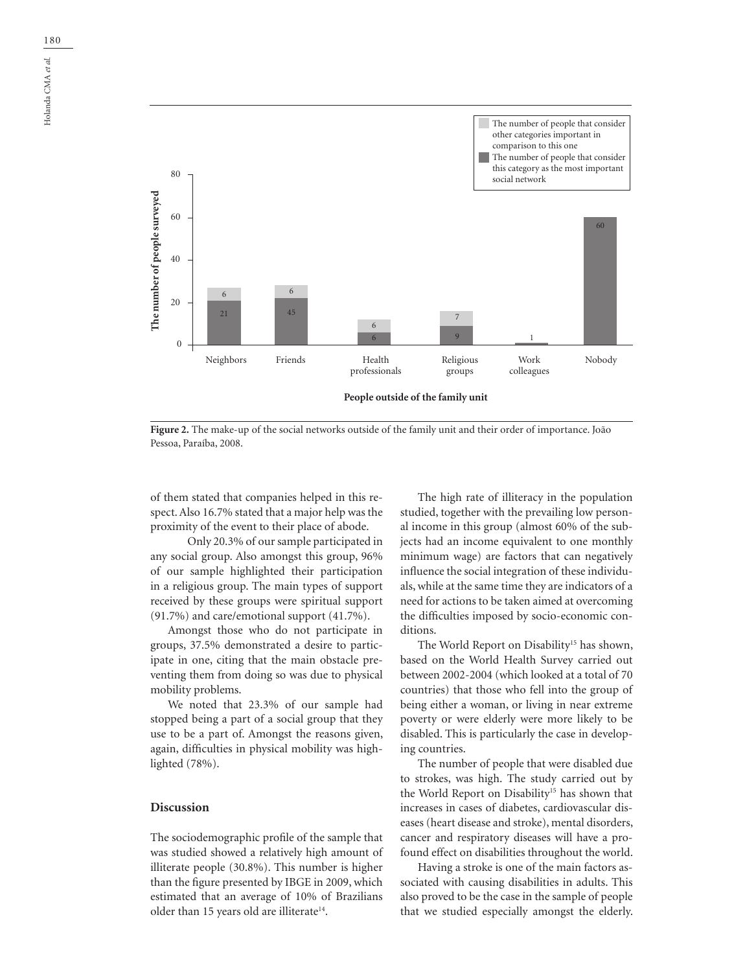

**Figure 2.** The make-up of the social networks outside of the family unit and their order of importance. João Pessoa, Paraíba, 2008.

of them stated that companies helped in this respect. Also 16.7% stated that a major help was the proximity of the event to their place of abode.

 Only 20.3% of our sample participated in any social group. Also amongst this group, 96% of our sample highlighted their participation in a religious group. The main types of support received by these groups were spiritual support (91.7%) and care/emotional support (41.7%).

Amongst those who do not participate in groups, 37.5% demonstrated a desire to participate in one, citing that the main obstacle preventing them from doing so was due to physical mobility problems.

We noted that 23.3% of our sample had stopped being a part of a social group that they use to be a part of. Amongst the reasons given, again, difficulties in physical mobility was highlighted (78%).

# **Discussion**

The sociodemographic profile of the sample that was studied showed a relatively high amount of illiterate people (30.8%). This number is higher than the figure presented by IBGE in 2009, which estimated that an average of 10% of Brazilians older than 15 years old are illiterate<sup>14</sup>.

The high rate of illiteracy in the population studied, together with the prevailing low personal income in this group (almost 60% of the subjects had an income equivalent to one monthly minimum wage) are factors that can negatively influence the social integration of these individuals, while at the same time they are indicators of a need for actions to be taken aimed at overcoming the difficulties imposed by socio-economic conditions.

The World Report on Disability<sup>15</sup> has shown, based on the World Health Survey carried out between 2002-2004 (which looked at a total of 70 countries) that those who fell into the group of being either a woman, or living in near extreme poverty or were elderly were more likely to be disabled. This is particularly the case in developing countries.

The number of people that were disabled due to strokes, was high. The study carried out by the World Report on Disability<sup>15</sup> has shown that increases in cases of diabetes, cardiovascular diseases (heart disease and stroke), mental disorders, cancer and respiratory diseases will have a profound effect on disabilities throughout the world.

Having a stroke is one of the main factors associated with causing disabilities in adults. This also proved to be the case in the sample of people that we studied especially amongst the elderly.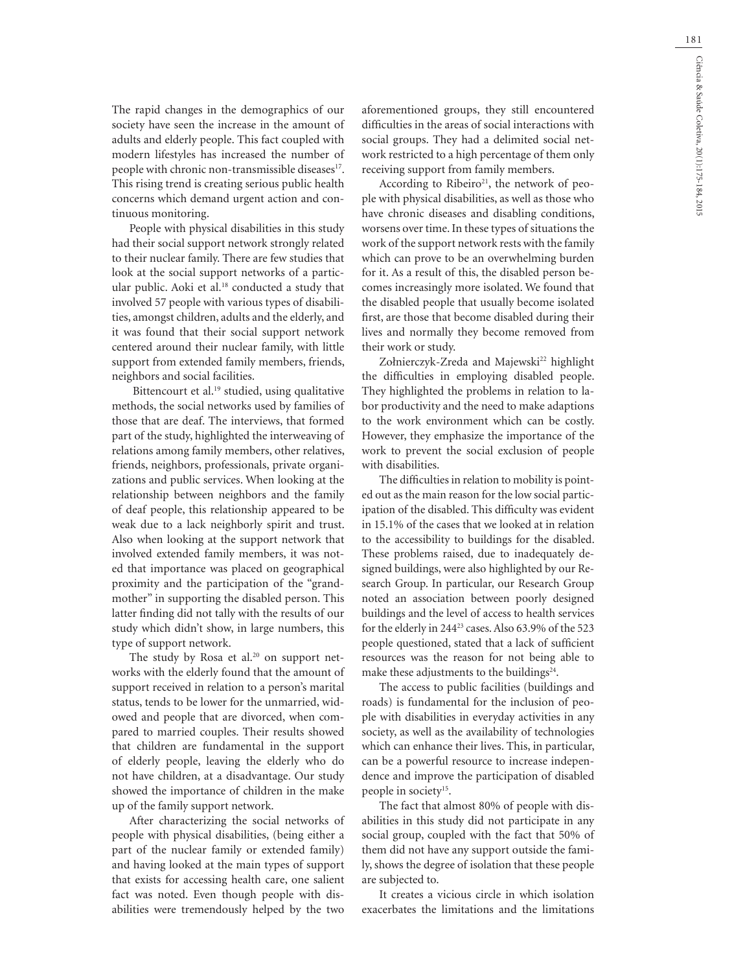The rapid changes in the demographics of our society have seen the increase in the amount of adults and elderly people. This fact coupled with modern lifestyles has increased the number of people with chronic non-transmissible diseases<sup>17</sup>. This rising trend is creating serious public health concerns which demand urgent action and continuous monitoring.

People with physical disabilities in this study had their social support network strongly related to their nuclear family. There are few studies that look at the social support networks of a particular public. Aoki et al.<sup>18</sup> conducted a study that involved 57 people with various types of disabilities, amongst children, adults and the elderly, and it was found that their social support network centered around their nuclear family, with little support from extended family members, friends, neighbors and social facilities.

Bittencourt et al.<sup>19</sup> studied, using qualitative methods, the social networks used by families of those that are deaf. The interviews, that formed part of the study, highlighted the interweaving of relations among family members, other relatives, friends, neighbors, professionals, private organizations and public services. When looking at the relationship between neighbors and the family of deaf people, this relationship appeared to be weak due to a lack neighborly spirit and trust. Also when looking at the support network that involved extended family members, it was noted that importance was placed on geographical proximity and the participation of the "grandmother" in supporting the disabled person. This latter finding did not tally with the results of our study which didn't show, in large numbers, this type of support network.

The study by Rosa et al. $20$  on support networks with the elderly found that the amount of support received in relation to a person's marital status, tends to be lower for the unmarried, widowed and people that are divorced, when compared to married couples. Their results showed that children are fundamental in the support of elderly people, leaving the elderly who do not have children, at a disadvantage. Our study showed the importance of children in the make up of the family support network.

After characterizing the social networks of people with physical disabilities, (being either a part of the nuclear family or extended family) and having looked at the main types of support that exists for accessing health care, one salient fact was noted. Even though people with disabilities were tremendously helped by the two aforementioned groups, they still encountered difficulties in the areas of social interactions with social groups. They had a delimited social network restricted to a high percentage of them only receiving support from family members.

According to Ribeiro<sup>21</sup>, the network of people with physical disabilities, as well as those who have chronic diseases and disabling conditions, worsens over time. In these types of situations the work of the support network rests with the family which can prove to be an overwhelming burden for it. As a result of this, the disabled person becomes increasingly more isolated. We found that the disabled people that usually become isolated first, are those that become disabled during their lives and normally they become removed from their work or study.

Zołnierczyk-Zreda and Majewski<sup>22</sup> highlight the difficulties in employing disabled people. They highlighted the problems in relation to labor productivity and the need to make adaptions to the work environment which can be costly. However, they emphasize the importance of the work to prevent the social exclusion of people with disabilities.

The difficulties in relation to mobility is pointed out as the main reason for the low social participation of the disabled. This difficulty was evident in 15.1% of the cases that we looked at in relation to the accessibility to buildings for the disabled. These problems raised, due to inadequately designed buildings, were also highlighted by our Research Group. In particular, our Research Group noted an association between poorly designed buildings and the level of access to health services for the elderly in  $244^{23}$  cases. Also 63.9% of the 523 people questioned, stated that a lack of sufficient resources was the reason for not being able to make these adjustments to the buildings<sup>24</sup>.

The access to public facilities (buildings and roads) is fundamental for the inclusion of people with disabilities in everyday activities in any society, as well as the availability of technologies which can enhance their lives. This, in particular, can be a powerful resource to increase independence and improve the participation of disabled people in society<sup>15</sup>.

The fact that almost 80% of people with disabilities in this study did not participate in any social group, coupled with the fact that 50% of them did not have any support outside the family, shows the degree of isolation that these people are subjected to.

It creates a vicious circle in which isolation exacerbates the limitations and the limitations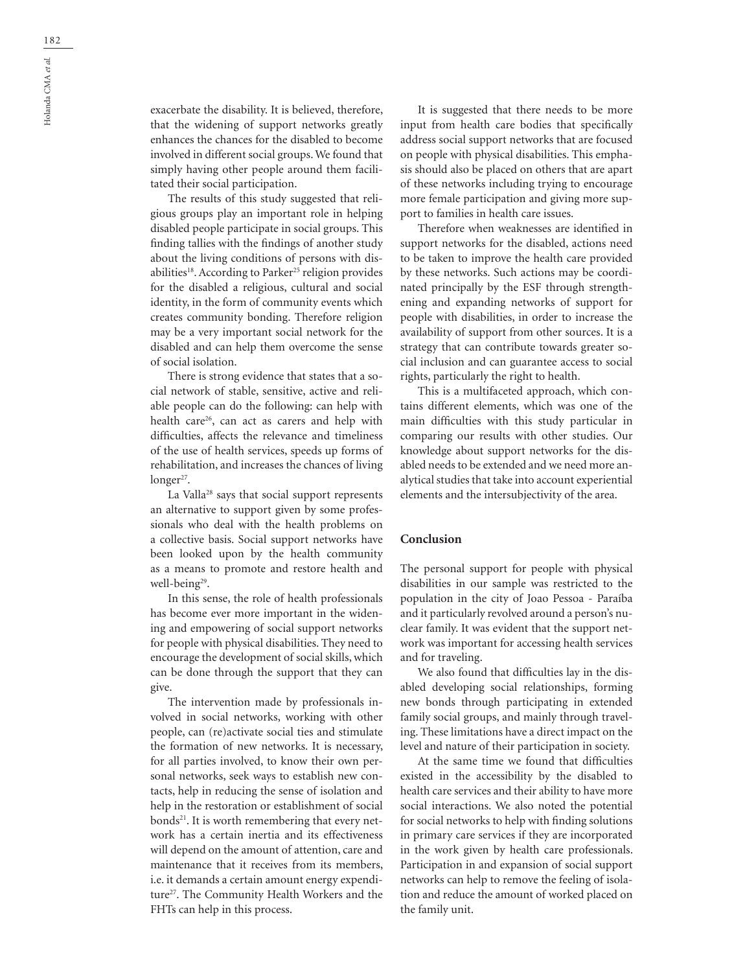exacerbate the disability. It is believed, therefore, that the widening of support networks greatly enhances the chances for the disabled to become involved in different social groups. We found that simply having other people around them facilitated their social participation.

The results of this study suggested that religious groups play an important role in helping disabled people participate in social groups. This finding tallies with the findings of another study about the living conditions of persons with disabilities<sup>18</sup>. According to Parker<sup>25</sup> religion provides for the disabled a religious, cultural and social identity, in the form of community events which creates community bonding. Therefore religion may be a very important social network for the disabled and can help them overcome the sense of social isolation.

There is strong evidence that states that a social network of stable, sensitive, active and reliable people can do the following: can help with health care<sup>26</sup>, can act as carers and help with difficulties, affects the relevance and timeliness of the use of health services, speeds up forms of rehabilitation, and increases the chances of living  $longer<sup>27</sup>$ .

La Valla28 says that social support represents an alternative to support given by some professionals who deal with the health problems on a collective basis. Social support networks have been looked upon by the health community as a means to promote and restore health and well-being<sup>29</sup>.

In this sense, the role of health professionals has become ever more important in the widening and empowering of social support networks for people with physical disabilities. They need to encourage the development of social skills, which can be done through the support that they can give.

The intervention made by professionals involved in social networks, working with other people, can (re)activate social ties and stimulate the formation of new networks. It is necessary, for all parties involved, to know their own personal networks, seek ways to establish new contacts, help in reducing the sense of isolation and help in the restoration or establishment of social bonds<sup>21</sup>. It is worth remembering that every network has a certain inertia and its effectiveness will depend on the amount of attention, care and maintenance that it receives from its members, i.e. it demands a certain amount energy expenditure<sup>27</sup>. The Community Health Workers and the FHTs can help in this process.

It is suggested that there needs to be more input from health care bodies that specifically address social support networks that are focused on people with physical disabilities. This emphasis should also be placed on others that are apart of these networks including trying to encourage more female participation and giving more support to families in health care issues.

Therefore when weaknesses are identified in support networks for the disabled, actions need to be taken to improve the health care provided by these networks. Such actions may be coordinated principally by the ESF through strengthening and expanding networks of support for people with disabilities, in order to increase the availability of support from other sources. It is a strategy that can contribute towards greater social inclusion and can guarantee access to social rights, particularly the right to health.

This is a multifaceted approach, which contains different elements, which was one of the main difficulties with this study particular in comparing our results with other studies. Our knowledge about support networks for the disabled needs to be extended and we need more analytical studies that take into account experiential elements and the intersubjectivity of the area.

### **Conclusion**

The personal support for people with physical disabilities in our sample was restricted to the population in the city of Joao Pessoa - Paraíba and it particularly revolved around a person's nuclear family. It was evident that the support network was important for accessing health services and for traveling.

We also found that difficulties lay in the disabled developing social relationships, forming new bonds through participating in extended family social groups, and mainly through traveling. These limitations have a direct impact on the level and nature of their participation in society.

At the same time we found that difficulties existed in the accessibility by the disabled to health care services and their ability to have more social interactions. We also noted the potential for social networks to help with finding solutions in primary care services if they are incorporated in the work given by health care professionals. Participation in and expansion of social support networks can help to remove the feeling of isolation and reduce the amount of worked placed on the family unit.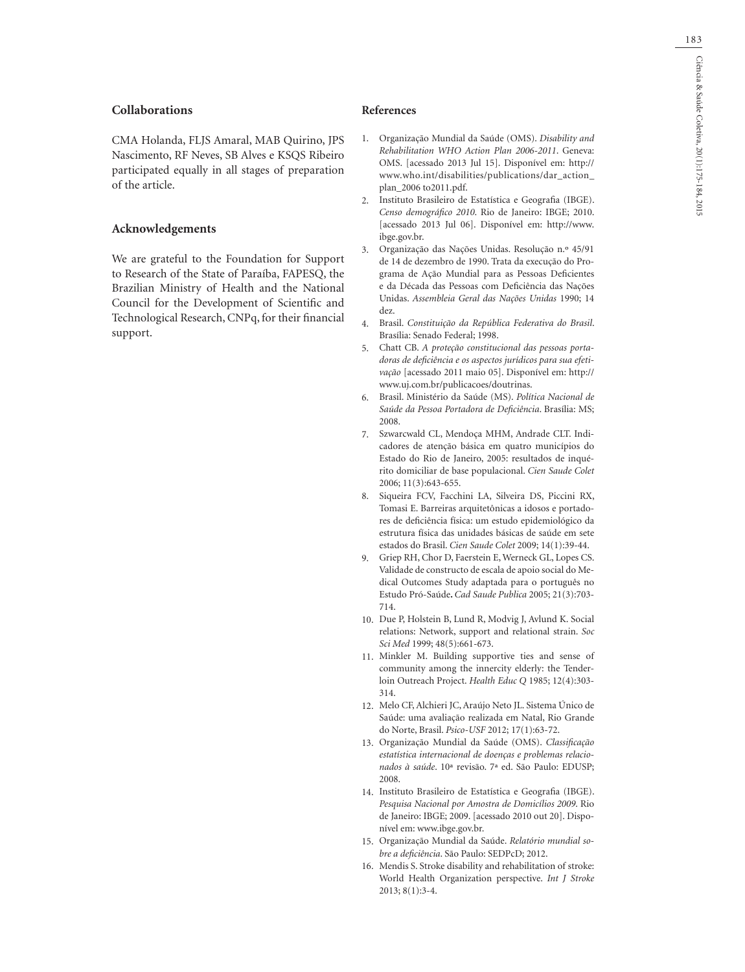## **Collaborations**

CMA Holanda, FLJS Amaral, MAB Quirino, JPS Nascimento, RF Neves, SB Alves e KSQS Ribeiro participated equally in all stages of preparation of the article.

### **Acknowledgements**

We are grateful to the Foundation for Support to Research of the State of Paraíba, FAPESQ, the Brazilian Ministry of Health and the National Council for the Development of Scientific and Technological Research, CNPq, for their financial support.

### **References**

- Organização Mundial da Saúde (OMS). *Disability and*  1. *Rehabilitation WHO Action Plan 2006-2011*. Geneva: OMS. [acessado 2013 Jul 15]. Disponível em: http:// www.who.int/disabilities/publications/dar\_action\_ plan\_2006 to2011.pdf.
- Instituto Brasileiro de Estatística e Geografia (IBGE). *Censo demográfico 2010*. Rio de Janeiro: IBGE; 2010. [acessado 2013 Jul 06]. Disponível em: http://www. ibge.gov.br. 2.
- Organização das Nações Unidas. Resolução n.º 45/91 de 14 de dezembro de 1990. Trata da execução do Programa de Ação Mundial para as Pessoas Deficientes e da Década das Pessoas com Deficiência das Nações Unidas. *Assembleia Geral das Nações Unidas* 1990; 14 dez. 3.
- Brasil. *Constituição da República Federativa do Brasil*. 4. Brasília: Senado Federal; 1998.
- Chatt CB. *A proteção constitucional das pessoas portadoras de deficiência e os aspectos jurídicos para sua efetivação* [acessado 2011 maio 05]. Disponível em: http:// www.uj.com.br/publicacoes/doutrinas. 5.
- Brasil. Ministério da Saúde (MS). *Política Nacional de*  6. *Saúde da Pessoa Portadora de Deficiência*. Brasília: MS; 2008.
- Szwarcwald CL, Mendoça MHM, Andrade CLT. Indicadores de atenção básica em quatro municípios do Estado do Rio de Janeiro, 2005: resultados de inquérito domiciliar de base populacional. *Cien Saude Colet* 2006; 11(3):643-655. 7.
- 8. Siqueira FCV, Facchini LA, Silveira DS, Piccini RX, Tomasi E. Barreiras arquitetônicas a idosos e portadores de deficiência física: um estudo epidemiológico da estrutura física das unidades básicas de saúde em sete estados do Brasil. *Cien Saude Colet* 2009; 14(1):39-44.
- Griep RH, Chor D, Faerstein E, Werneck GL, Lopes CS. Validade de constructo de escala de apoio social do Medical Outcomes Study adaptada para o português no Estudo Pró-Saúde**.** *Cad Saude Publica* 2005; 21(3):703- 714. 9.
- 10. Due P, Holstein B, Lund R, Modvig J, Avlund K. Social relations: Network, support and relational strain. *Soc Sci Med* 1999; 48(5):661-673.
- 11. Minkler M. Building supportive ties and sense of community among the innercity elderly: the Tenderloin Outreach Project. *Health Educ Q* 1985; 12(4):303- 314.
- Melo CF, Alchieri JC, Araújo Neto JL. Sistema Único de 12. Saúde: uma avaliação realizada em Natal, Rio Grande do Norte, Brasil. *Psico-USF* 2012; 17(1):63-72.
- Organização Mundial da Saúde (OMS). *Classificação*  13. *estatística internacional de doenças e problemas relacionados à saúde*. 10ª revisão. 7ª ed. São Paulo: EDUSP; 2008.
- 14. Instituto Brasileiro de Estatística e Geografia (IBGE). *Pesquisa Nacional por Amostra de Domicílios 2009*. Rio de Janeiro: IBGE; 2009. [acessado 2010 out 20]. Disponível em: www.ibge.gov.br.
- Organização Mundial da Saúde. *Relatório mundial so-*15. *bre a deficiência*. São Paulo: SEDPcD; 2012.
- 16. Mendis S. Stroke disability and rehabilitation of stroke: World Health Organization perspective. *Int J Stroke* 2013; 8(1):3-4.